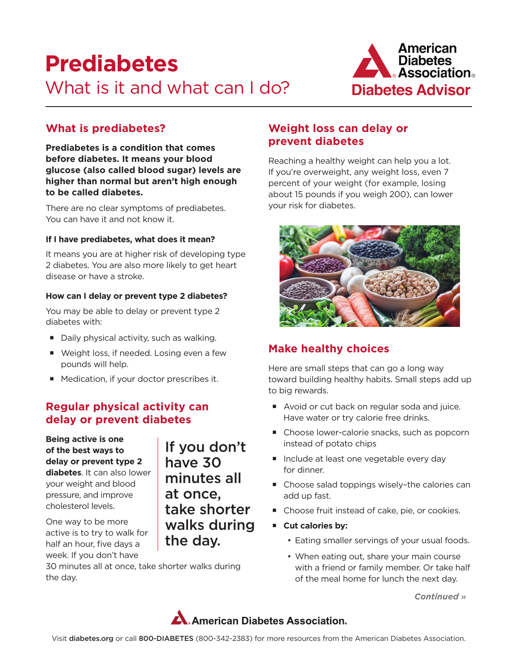# **Prediabetes** What is it and what can I do?



# **What is prediabetes?**

**Prediabetes is a condition that comes before diabetes. It means your blood glucose (also called blood sugar) levels are higher than normal but aren't high enough to be called diabetes.** 

There are no clear symptoms of prediabetes. You can have it and not know it.

### **If I have prediabetes, what does it mean?**

It means you are at higher risk of developing type 2 diabetes. You are also more likely to get heart disease or have a stroke.

### **How can I delay or prevent type 2 diabetes?**

You may be able to delay or prevent type 2 diabetes with:

- Daily physical activity, such as walking.
- Weight loss, if needed. Losing even a few pounds will help.
- Medication, if your doctor prescribes it.

## **Regular physical activity can delay or prevent diabetes**

If you don't

minutes all

take shorter walks during

have 30

at once,

the day.

**Being active is one of the best ways to delay or prevent type 2 diabetes**. It can also lower your weight and blood pressure, and improve cholesterol levels.

One way to be more active is to try to walk for half an hour, five days a week. If you don't have

30 minutes all at once, take shorter walks during the day.

## **Weight loss can delay or prevent diabetes**

Reaching a healthy weight can help you a lot. If you're overweight, any weight loss, even 7 percent of your weight (for example, losing about 15 pounds if you weigh 200), can lower your risk for diabetes.



# **Make healthy choices**

Here are small steps that can go a long way toward building healthy habits. Small steps add up to big rewards.

- Avoid or cut back on regular soda and juice. Have water or try calorie free drinks.
- Choose lower-calorie snacks, such as popcorn instead of potato chips
- Include at least one vegetable every day for dinner.
- Choose salad toppings wisely-the calories can add up fast.
- **Choose fruit instead of cake, pie, or cookies.**
- **Cut calories by:**
	- Eating smaller servings of your usual foods.
	- When eating out, share your main course with a friend or family member. Or take half of the meal home for lunch the next day.

*Continued* »

# **American Diabetes Association.**